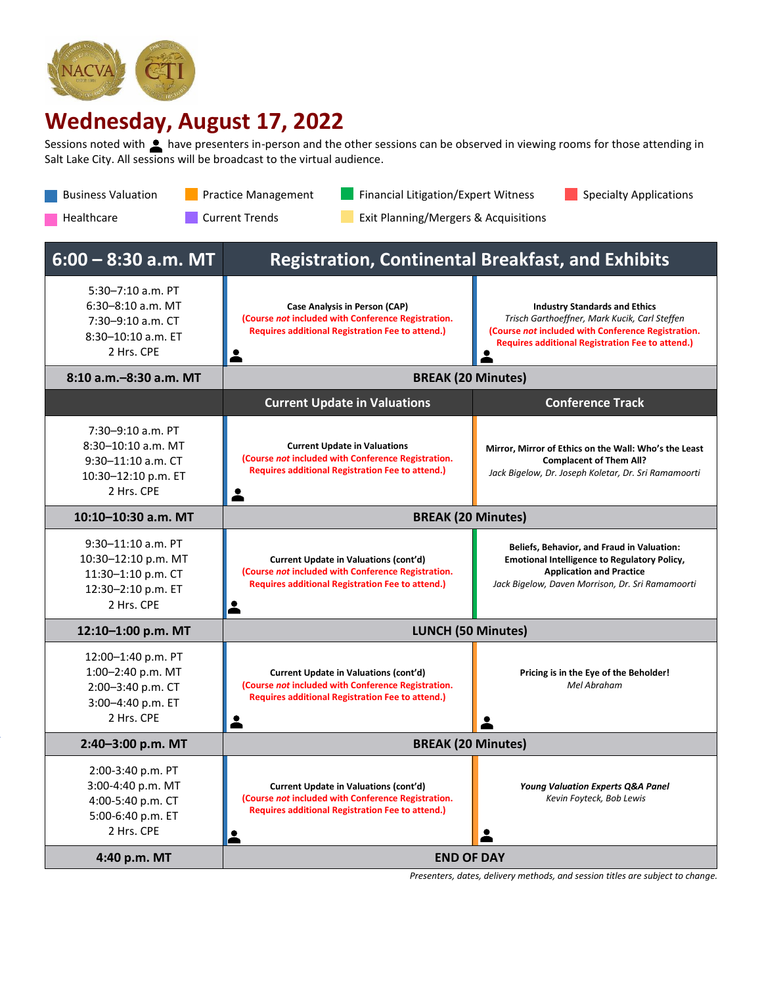

## **Wednesday, August 17, 2022**

Sessions noted with **the have presenters in-person and the other sessions can be observed in viewing rooms for those attending in** Salt Lake City. All sessions will be broadcast to the virtual audience.

Business Valuation **Practice Management Practice Analysis Act Act Act Act Act A** Specialty Applications

| <b>Current Trends</b><br>Healthcare<br>Exit Planning/Mergers & Acquisitions                            |                                                                                                                                                                    |                                                                                                                                                                                                        |  |  |  |
|--------------------------------------------------------------------------------------------------------|--------------------------------------------------------------------------------------------------------------------------------------------------------------------|--------------------------------------------------------------------------------------------------------------------------------------------------------------------------------------------------------|--|--|--|
| $6:00 - 8:30$ a.m. MT                                                                                  | <b>Registration, Continental Breakfast, and Exhibits</b>                                                                                                           |                                                                                                                                                                                                        |  |  |  |
| $5:30 - 7:10$ a.m. PT<br>6:30-8:10 a.m. MT<br>7:30-9:10 a.m. CT<br>8:30-10:10 a.m. ET<br>2 Hrs. CPE    | Case Analysis in Person (CAP)<br>(Course not included with Conference Registration.<br><b>Requires additional Registration Fee to attend.)</b>                     | <b>Industry Standards and Ethics</b><br>Trisch Garthoeffner, Mark Kucik, Carl Steffen<br>(Course not included with Conference Registration.<br><b>Requires additional Registration Fee to attend.)</b> |  |  |  |
| 8:10 a.m.-8:30 a.m. MT                                                                                 | <b>BREAK (20 Minutes)</b>                                                                                                                                          |                                                                                                                                                                                                        |  |  |  |
|                                                                                                        | <b>Current Update in Valuations</b>                                                                                                                                | <b>Conference Track</b>                                                                                                                                                                                |  |  |  |
| $7:30-9:10$ a.m. PT<br>8:30-10:10 a.m. MT<br>$9:30-11:10$ a.m. CT<br>10:30-12:10 p.m. ET<br>2 Hrs. CPE | <b>Current Update in Valuations</b><br>(Course not included with Conference Registration.<br><b>Requires additional Registration Fee to attend.)</b>               | Mirror, Mirror of Ethics on the Wall: Who's the Least<br><b>Complacent of Them All?</b><br>Jack Bigelow, Dr. Joseph Koletar, Dr. Sri Ramamoorti                                                        |  |  |  |
| 10:10-10:30 a.m. MT                                                                                    | <b>BREAK (20 Minutes)</b>                                                                                                                                          |                                                                                                                                                                                                        |  |  |  |
| $9:30-11:10$ a.m. PT<br>10:30-12:10 p.m. MT<br>11:30-1:10 p.m. CT<br>12:30-2:10 p.m. ET<br>2 Hrs. CPE  | Current Update in Valuations (cont'd)<br>(Course not included with Conference Registration.<br><b>Requires additional Registration Fee to attend.)</b>             | <b>Beliefs, Behavior, and Fraud in Valuation:</b><br><b>Emotional Intelligence to Regulatory Policy,</b><br><b>Application and Practice</b><br>Jack Bigelow, Daven Morrison, Dr. Sri Ramamoorti        |  |  |  |
| 12:10-1:00 p.m. MT                                                                                     | <b>LUNCH (50 Minutes)</b>                                                                                                                                          |                                                                                                                                                                                                        |  |  |  |
| 12:00-1:40 p.m. PT<br>1:00-2:40 p.m. MT<br>2:00-3:40 p.m. CT<br>3:00-4:40 p.m. ET<br>2 Hrs. CPE        | Current Update in Valuations (cont'd)<br>(Course not included with Conference Registration.<br><b>Requires additional Registration Fee to attend.)</b>             | Pricing is in the Eye of the Beholder!<br>Mel Abraham                                                                                                                                                  |  |  |  |
| 2:40-3:00 p.m. MT                                                                                      | <b>BREAK (20 Minutes)</b>                                                                                                                                          |                                                                                                                                                                                                        |  |  |  |
| 2:00-3:40 p.m. PT<br>3:00-4:40 p.m. MT<br>4:00-5:40 p.m. CT<br>5:00-6:40 p.m. ET<br>2 Hrs. CPE         | Current Update in Valuations (cont'd)<br>(Course not included with Conference Registration.<br><b>Requires additional Registration Fee to attend.)</b><br><u>2</u> | <b>Young Valuation Experts Q&amp;A Panel</b><br>Kevin Foyteck, Bob Lewis                                                                                                                               |  |  |  |
| 4:40 p.m. MT                                                                                           | <b>END OF DAY</b>                                                                                                                                                  |                                                                                                                                                                                                        |  |  |  |

*Presenters, dates, delivery methods, and session titles are subject to change.*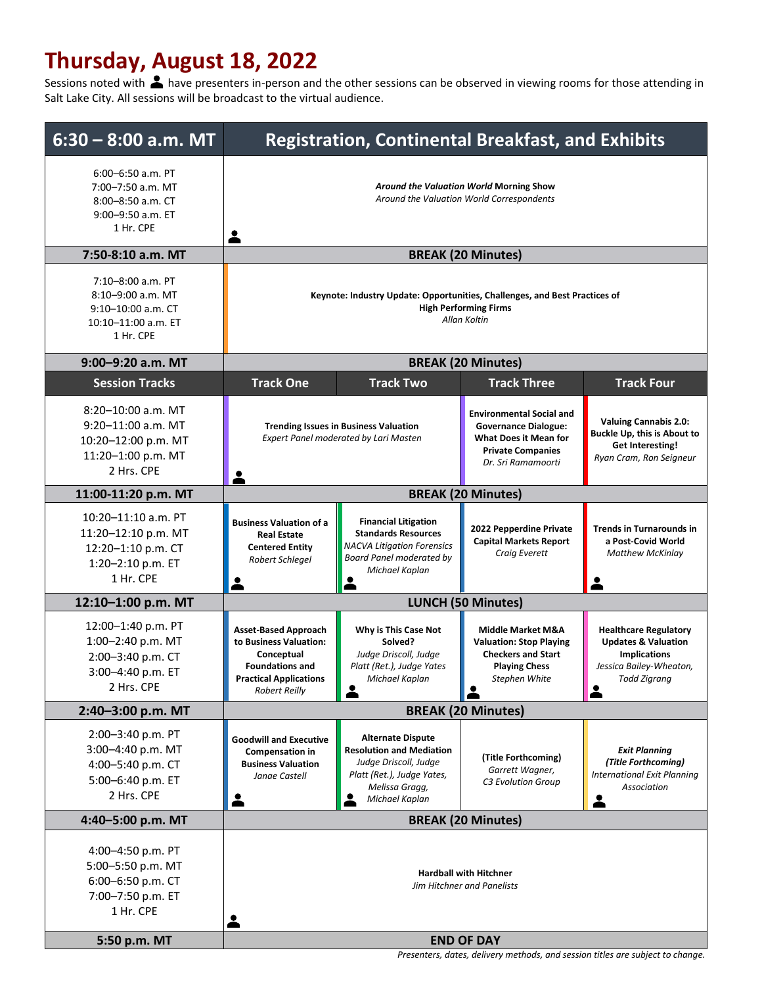## **Thursday, August 18, 2022**

Sessions noted with **A** have presenters in-person and the other sessions can be observed in viewing rooms for those attending in Salt Lake City. All sessions will be broadcast to the virtual audience.

| $6:00 - 6:50$ a.m. PT<br>Around the Valuation World Morning Show<br>7:00-7:50 a.m. MT<br>Around the Valuation World Correspondents<br>8:00-8:50 a.m. CT<br>9:00-9:50 a.m. ET<br>1 Hr. CPE<br><b>BREAK (20 Minutes)</b><br>7:50-8:10 a.m. MT                                                                                                                                                                                                                                                                                                                                                                                                      |
|--------------------------------------------------------------------------------------------------------------------------------------------------------------------------------------------------------------------------------------------------------------------------------------------------------------------------------------------------------------------------------------------------------------------------------------------------------------------------------------------------------------------------------------------------------------------------------------------------------------------------------------------------|
|                                                                                                                                                                                                                                                                                                                                                                                                                                                                                                                                                                                                                                                  |
|                                                                                                                                                                                                                                                                                                                                                                                                                                                                                                                                                                                                                                                  |
| 7:10-8:00 a.m. PT<br>8:10-9:00 a.m. MT<br>Keynote: Industry Update: Opportunities, Challenges, and Best Practices of<br><b>High Performing Firms</b><br>9:10-10:00 a.m. CT<br>Allan Koltin<br>10:10-11:00 a.m. ET<br>1 Hr. CPE                                                                                                                                                                                                                                                                                                                                                                                                                   |
| 9:00-9:20 a.m. MT<br><b>BREAK (20 Minutes)</b>                                                                                                                                                                                                                                                                                                                                                                                                                                                                                                                                                                                                   |
| <b>Track Two</b><br><b>Track Three</b><br><b>Track Four</b><br><b>Session Tracks</b><br><b>Track One</b>                                                                                                                                                                                                                                                                                                                                                                                                                                                                                                                                         |
| 8:20-10:00 a.m. MT<br><b>Environmental Social and</b><br><b>Valuing Cannabis 2.0:</b><br>9:20-11:00 a.m. MT<br><b>Trending Issues in Business Valuation</b><br><b>Governance Dialogue:</b><br>Buckle Up, this is About to<br><b>Expert Panel moderated by Lari Masten</b><br><b>What Does it Mean for</b><br>10:20-12:00 p.m. MT<br>Get Interesting!<br><b>Private Companies</b><br>11:20-1:00 p.m. MT<br>Ryan Cram, Ron Seigneur<br>Dr. Sri Ramamoorti<br>2 Hrs. CPE                                                                                                                                                                            |
| <b>BREAK (20 Minutes)</b><br>11:00-11:20 p.m. MT                                                                                                                                                                                                                                                                                                                                                                                                                                                                                                                                                                                                 |
| 10:20-11:10 a.m. PT<br><b>Financial Litigation</b><br><b>Business Valuation of a</b><br>2022 Pepperdine Private<br><b>Trends in Turnarounds in</b><br>11:20-12:10 p.m. MT<br><b>Standards Resources</b><br><b>Real Estate</b><br><b>Capital Markets Report</b><br>a Post-Covid World<br><b>NACVA Litigation Forensics</b><br><b>Centered Entity</b><br>12:20-1:10 p.m. CT<br>Craig Everett<br><b>Matthew McKinlay</b><br><b>Board Panel moderated by</b><br>Robert Schlegel<br>1:20-2:10 p.m. ET<br>Michael Kaplan<br>1 Hr. CPE                                                                                                                  |
| <b>LUNCH (50 Minutes)</b><br>12:10-1:00 p.m. MT                                                                                                                                                                                                                                                                                                                                                                                                                                                                                                                                                                                                  |
| 12:00-1:40 p.m. PT<br><b>Asset-Based Approach</b><br>Why is This Case Not<br><b>Middle Market M&amp;A</b><br><b>Healthcare Regulatory</b><br>1:00-2:40 p.m. MT<br>to Business Valuation:<br>Solved?<br><b>Updates &amp; Valuation</b><br><b>Valuation: Stop Playing</b><br>Judge Driscoll, Judge<br><b>Checkers and Start</b><br><b>Implications</b><br>Conceptual<br>2:00-3:40 p.m. CT<br><b>Foundations and</b><br>Platt (Ret.), Judge Yates<br><b>Playing Chess</b><br>Jessica Bailey-Wheaton,<br>3:00-4:40 p.m. ET<br><b>Practical Applications</b><br>Michael Kaplan<br>Stephen White<br>Todd Zigrang<br>2 Hrs. CPE<br><b>Robert Reilly</b> |
| <b>BREAK (20 Minutes)</b><br>2:40-3:00 p.m. MT                                                                                                                                                                                                                                                                                                                                                                                                                                                                                                                                                                                                   |
| 2:00-3:40 p.m. PT<br><b>Alternate Dispute</b><br><b>Goodwill and Executive</b><br>3:00-4:40 p.m. MT<br><b>Resolution and Mediation</b><br><b>Exit Planning</b><br><b>Compensation in</b><br>(Title Forthcoming)<br>(Title Forthcoming)<br>Judge Driscoll, Judge<br><b>Business Valuation</b><br>4:00-5:40 p.m. CT<br>Garrett Wagner,<br>Platt (Ret.), Judge Yates,<br><b>International Exit Planning</b><br>Janae Castell<br>5:00-6:40 p.m. ET<br><b>C3 Evolution Group</b><br>Melissa Gragg,<br>Association<br>2 Hrs. CPE<br>$\bullet$<br>Michael Kaplan                                                                                        |
| <b>BREAK (20 Minutes)</b><br>4:40-5:00 p.m. MT                                                                                                                                                                                                                                                                                                                                                                                                                                                                                                                                                                                                   |
| 4:00-4:50 p.m. PT<br>5:00-5:50 p.m. MT<br><b>Hardball with Hitchner</b><br>6:00-6:50 p.m. CT<br>Jim Hitchner and Panelists<br>7:00-7:50 p.m. ET<br>1 Hr. CPE<br>2                                                                                                                                                                                                                                                                                                                                                                                                                                                                                |
| 5:50 p.m. MT<br><b>END OF DAY</b><br>Presenters, dates, delivery methods, and session titles are subject to change.                                                                                                                                                                                                                                                                                                                                                                                                                                                                                                                              |